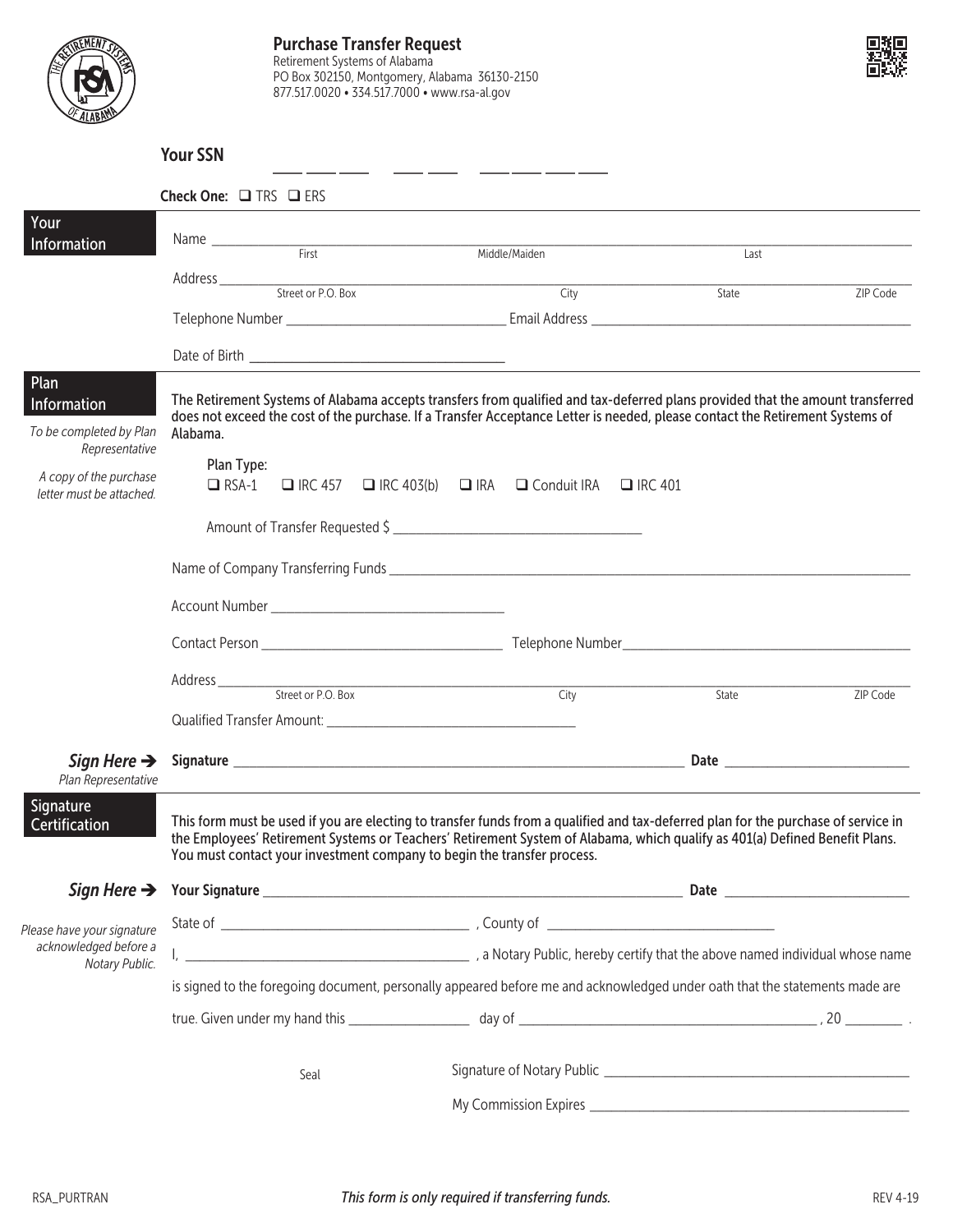



|                                                                       | <b>Your SSN</b>                                                                                                             | ________<br>$\overline{\phantom{iiiiiiiiiiiiiii}}$                                                                                                                                                                                                                |       |          |  |  |
|-----------------------------------------------------------------------|-----------------------------------------------------------------------------------------------------------------------------|-------------------------------------------------------------------------------------------------------------------------------------------------------------------------------------------------------------------------------------------------------------------|-------|----------|--|--|
|                                                                       | Check One: $\Box$ TRS $\Box$ ERS                                                                                            |                                                                                                                                                                                                                                                                   |       |          |  |  |
| Your<br>Information                                                   | Name First                                                                                                                  | Middle/Maiden                                                                                                                                                                                                                                                     | Last  |          |  |  |
|                                                                       |                                                                                                                             |                                                                                                                                                                                                                                                                   |       |          |  |  |
|                                                                       |                                                                                                                             | City                                                                                                                                                                                                                                                              | State | ZIP Code |  |  |
|                                                                       |                                                                                                                             |                                                                                                                                                                                                                                                                   |       |          |  |  |
| Plan<br>Information                                                   |                                                                                                                             | The Retirement Systems of Alabama accepts transfers from qualified and tax-deferred plans provided that the amount transferred<br>does not exceed the cost of the purchase. If a Transfer Acceptance Letter is needed, please contact the Retirement Systems of   |       |          |  |  |
| To be completed by Plan<br>Representative                             | Alabama.                                                                                                                    |                                                                                                                                                                                                                                                                   |       |          |  |  |
| A copy of the purchase<br>letter must be attached                     | Plan Type:                                                                                                                  | □ RSA-1 □ IRC 457 □ IRC 403(b) □ IRA □ Conduit IRA □ IRC 401                                                                                                                                                                                                      |       |          |  |  |
|                                                                       |                                                                                                                             |                                                                                                                                                                                                                                                                   |       |          |  |  |
|                                                                       |                                                                                                                             |                                                                                                                                                                                                                                                                   |       |          |  |  |
|                                                                       |                                                                                                                             |                                                                                                                                                                                                                                                                   |       |          |  |  |
|                                                                       |                                                                                                                             |                                                                                                                                                                                                                                                                   |       |          |  |  |
|                                                                       |                                                                                                                             | Address <u>City Street or P.O. Box</u>                                                                                                                                                                                                                            |       |          |  |  |
|                                                                       |                                                                                                                             |                                                                                                                                                                                                                                                                   | State | ZIP Code |  |  |
| Sign Here $\rightarrow$<br>Plan Representative                        |                                                                                                                             |                                                                                                                                                                                                                                                                   |       |          |  |  |
| Signature<br>Certification                                            | You must contact your investment company to begin the transfer process.                                                     | This form must be used if you are electing to transfer funds from a qualified and tax-deferred plan for the purchase of service in<br>the Employees' Retirement Systems or Teachers' Retirement System of Alabama, which qualify as 401(a) Defined Benefit Plans. |       |          |  |  |
| Sign Here $\rightarrow$                                               |                                                                                                                             |                                                                                                                                                                                                                                                                   |       |          |  |  |
| Please have your signature<br>acknowledged before a<br>Notary Public. |                                                                                                                             |                                                                                                                                                                                                                                                                   |       |          |  |  |
|                                                                       |                                                                                                                             |                                                                                                                                                                                                                                                                   |       |          |  |  |
|                                                                       | is signed to the foregoing document, personally appeared before me and acknowledged under oath that the statements made are |                                                                                                                                                                                                                                                                   |       |          |  |  |
|                                                                       |                                                                                                                             |                                                                                                                                                                                                                                                                   |       |          |  |  |
|                                                                       | Seal                                                                                                                        |                                                                                                                                                                                                                                                                   |       |          |  |  |
|                                                                       |                                                                                                                             |                                                                                                                                                                                                                                                                   |       |          |  |  |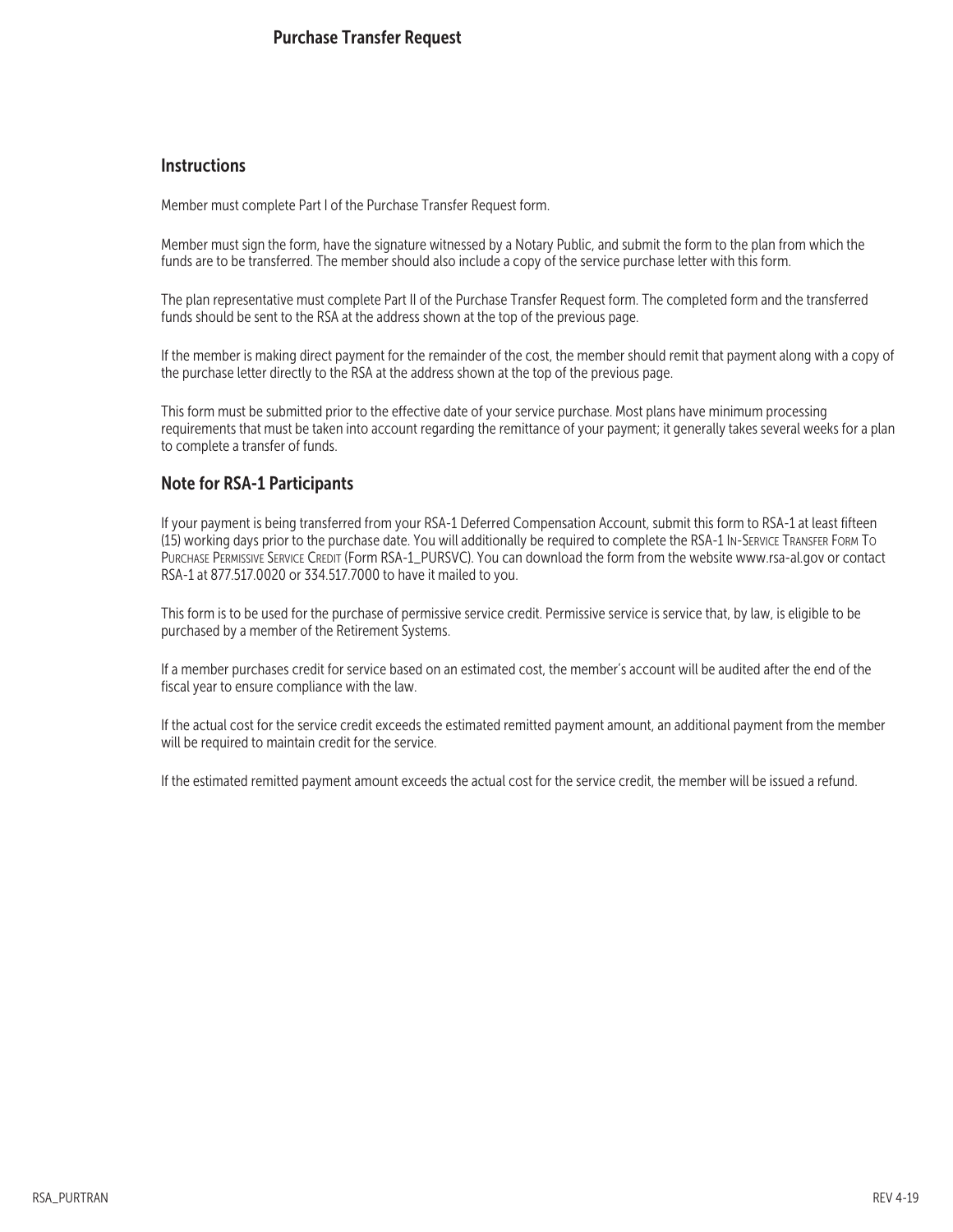## Purchase Transfer Request

## **Instructions**

Member must complete Part I of the Purchase Transfer Request form.

Member must sign the form, have the signature witnessed by a Notary Public, and submit the form to the plan from which the funds are to be transferred. The member should also include a copy of the service purchase letter with this form.

The plan representative must complete Part II of the Purchase Transfer Request form. The completed form and the transferred funds should be sent to the RSA at the address shown at the top of the previous page.

If the member is making direct payment for the remainder of the cost, the member should remit that payment along with a copy of the purchase letter directly to the RSA at the address shown at the top of the previous page.

This form must be submitted prior to the effective date of your service purchase. Most plans have minimum processing requirements that must be taken into account regarding the remittance of your payment; it generally takes several weeks for a plan to complete a transfer of funds.

## Note for RSA-1 Participants

If your payment is being transferred from your RSA-1 Deferred Compensation Account, submit this form to RSA-1 at least fifteen (15) working days prior to the purchase date. You will additionally be required to complete the RSA-1 In-Service Transfer Form To Purchase Permissive Service Credit (Form RSA-1\_PURSVC). You can download the form from the website www.rsa-al.gov or contact RSA-1 at 877.517.0020 or 334.517.7000 to have it mailed to you.

This form is to be used for the purchase of permissive service credit. Permissive service is service that, by law, is eligible to be purchased by a member of the Retirement Systems.

If a member purchases credit for service based on an estimated cost, the member's account will be audited after the end of the fiscal year to ensure compliance with the law.

If the actual cost for the service credit exceeds the estimated remitted payment amount, an additional payment from the member will be required to maintain credit for the service.

If the estimated remitted payment amount exceeds the actual cost for the service credit, the member will be issued a refund.